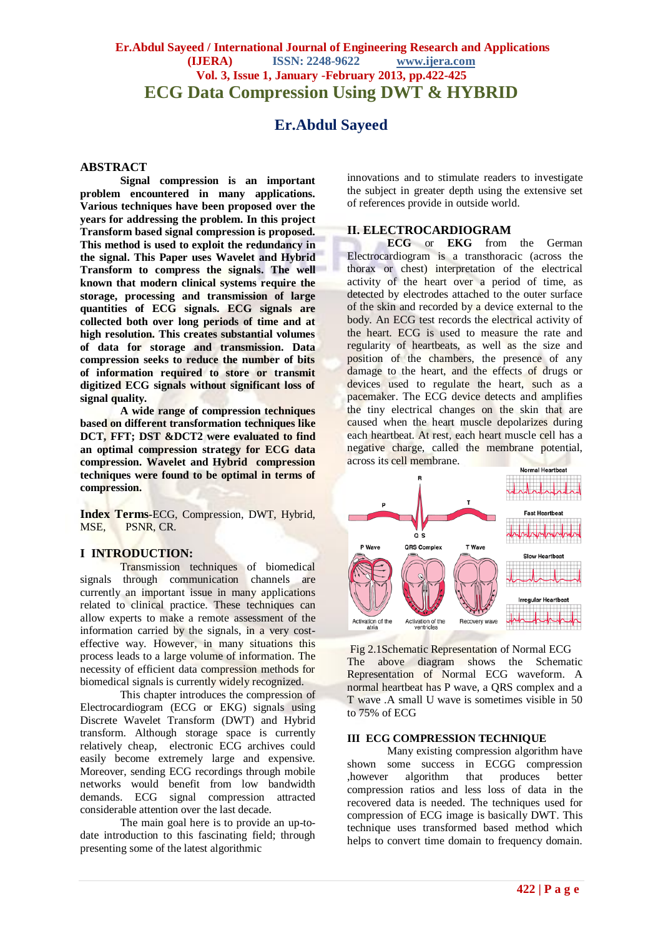# **Er.Abdul Sayeed / International Journal of Engineering Research and Applications (IJERA) ISSN: 2248-9622 www.ijera.com Vol. 3, Issue 1, January -February 2013, pp.422-425 ECG Data Compression Using DWT & HYBRID**

# **Er.Abdul Sayeed**

#### **ABSTRACT**

**Signal compression is an important problem encountered in many applications. Various techniques have been proposed over the years for addressing the problem. In this project Transform based signal compression is proposed. This method is used to exploit the redundancy in the signal. This Paper uses Wavelet and Hybrid Transform to compress the signals. The well known that modern clinical systems require the storage, processing and transmission of large quantities of ECG signals. ECG signals are collected both over long periods of time and at high resolution. This creates substantial volumes of data for storage and transmission. Data compression seeks to reduce the number of bits of information required to store or transmit digitized ECG signals without significant loss of signal quality.**

**A wide range of compression techniques based on different transformation techniques like DCT, FFT; DST &DCT2 were evaluated to find an optimal compression strategy for ECG data compression. Wavelet and Hybrid compression techniques were found to be optimal in terms of compression.**

**Index Terms-**ECG, Compression, DWT, Hybrid, MSE, PSNR, CR.

#### **I INTRODUCTION:**

Transmission techniques of biomedical signals through communication channels are currently an important issue in many applications related to clinical practice. These techniques can allow experts to make a remote assessment of the information carried by the signals, in a very costeffective way. However, in many situations this process leads to a large volume of information. The necessity of efficient data compression methods for biomedical signals is currently widely recognized.

This chapter introduces the compression of Electrocardiogram (ECG or EKG) signals using Discrete Wavelet Transform (DWT) and Hybrid transform. Although storage space is currently relatively cheap, electronic ECG archives could easily become extremely large and expensive. Moreover, sending ECG recordings through mobile networks would benefit from low bandwidth demands. ECG signal compression attracted considerable attention over the last decade.

The main goal here is to provide an up-todate introduction to this fascinating field; through presenting some of the latest algorithmic

innovations and to stimulate readers to investigate the subject in greater depth using the extensive set of references provide in outside world.

## **II. ELECTROCARDIOGRAM**

**ECG** or **EKG** from the German Electrocardiogram is a transthoracic (across the thorax or chest) interpretation of the electrical activity of the heart over a period of time, as detected by electrodes attached to the outer surface of the skin and recorded by a device external to the body. An ECG test records the electrical activity of the heart. ECG is used to measure the rate and regularity of heartbeats, as well as the size and position of the chambers, the presence of any damage to the heart, and the effects of drugs or devices used to regulate the heart, such as a pacemaker. The ECG device detects and amplifies the tiny electrical changes on the skin that are caused when the heart muscle depolarizes during each heartbeat. At rest, each heart muscle cell has a negative charge, called the membrane potential, across its cell membrane.



Fig 2.1Schematic Representation of Normal ECG The above diagram shows the Schematic Representation of Normal ECG waveform. A normal heartbeat has P wave, a QRS complex and a T wave .A small U wave is sometimes visible in 50 to 75% of ECG

#### **III ECG COMPRESSION TECHNIQUE**

Many existing compression algorithm have shown some success in ECGG compression ,however algorithm that produces better compression ratios and less loss of data in the recovered data is needed. The techniques used for compression of ECG image is basically DWT. This technique uses transformed based method which helps to convert time domain to frequency domain.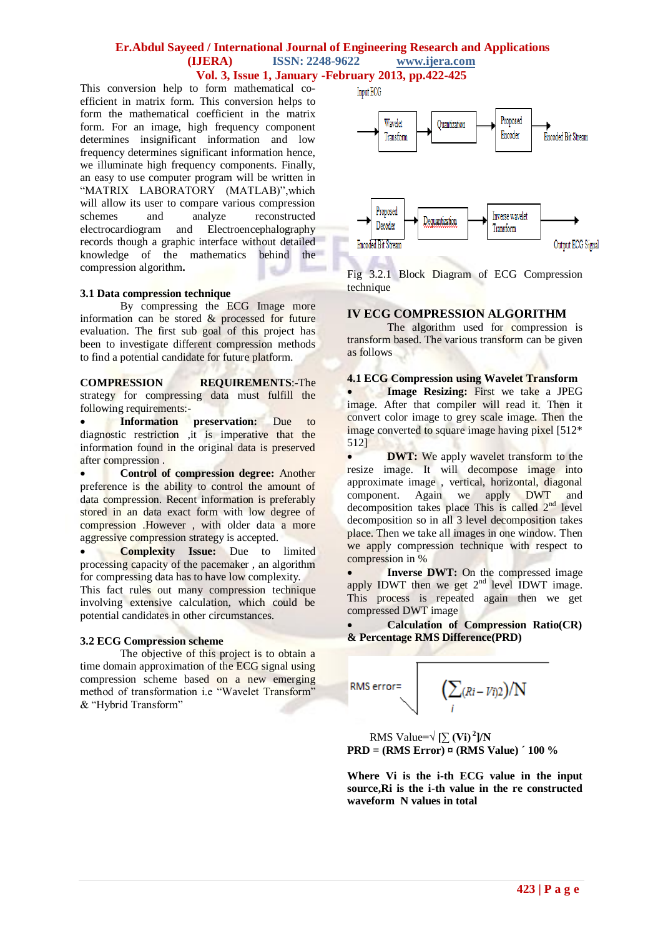#### **Er.Abdul Sayeed / International Journal of Engineering Research and Applications (IJERA) ISSN: 2248-9622 www.ijera.com Vol. 3, Issue 1, January -February 2013, pp.422-425**

This conversion help to form mathematical coefficient in matrix form. This conversion helps to form the mathematical coefficient in the matrix form. For an image, high frequency component determines insignificant information and low frequency determines significant information hence, we illuminate high frequency components. Finally, an easy to use computer program will be written in "MATRIX LABORATORY (MATLAB)",which will allow its user to compare various compression schemes and analyze reconstructed electrocardiogram and Electroencephalography records though a graphic interface without detailed knowledge of the mathematics behind the compression algorithm**.**

#### **3.1 Data compression technique**

By compressing the ECG Image more information can be stored & processed for future evaluation. The first sub goal of this project has been to investigate different compression methods to find a potential candidate for future platform.

**COMPRESSION REQUIREMENTS**:-The strategy for compressing data must fulfill the following requirements:-

 **Information preservation:** Due to diagnostic restriction ,it is imperative that the information found in the original data is preserved after compression .

 **Control of compression degree:** Another preference is the ability to control the amount of data compression. Recent information is preferably stored in an data exact form with low degree of compression .However , with older data a more aggressive compression strategy is accepted.

 **Complexity Issue:** Due to limited processing capacity of the pacemaker , an algorithm for compressing data has to have low complexity.

This fact rules out many compression technique involving extensive calculation, which could be potential candidates in other circumstances.

#### **3.2 ECG Compression scheme**

The objective of this project is to obtain a time domain approximation of the ECG signal using compression scheme based on a new emerging method of transformation i.e "Wavelet Transform" & "Hybrid Transform"



Fig 3.2.1 Block Diagram of ECG Compression technique

## **IV ECG COMPRESSION ALGORITHM**

The algorithm used for compression is transform based. The various transform can be given as follows

**4.1 ECG Compression using Wavelet Transform**

 **Image Resizing:** First we take a JPEG image. After that compiler will read it. Then it convert color image to grey scale image. Then the image converted to square image having pixel [512\* 512]

**DWT:** We apply wavelet transform to the resize image. It will decompose image into approximate image , vertical, horizontal, diagonal component. Again we apply DWT and decomposition takes place This is called  $2<sup>nd</sup>$  level decomposition so in all 3 level decomposition takes place. Then we take all images in one window. Then we apply compression technique with respect to compression in %

 **Inverse DWT:** On the compressed image apply IDWT then we get  $2<sup>nd</sup>$  level IDWT image. This process is repeated again then we get compressed DWT image

 **Calculation of Compression Ratio(CR) & Percentage RMS Difference(PRD)**

RMS error=
$$
\left(\sum_i (Ri - Vi)2\right)/N
$$

RMS Value= $\sqrt{\sum (Vi)^2}$ ]/N **PRD = (RMS Error) ¤ (RMS Value) ´ 100 %**

**Where Vi is the i-th ECG value in the input source,Ri is the i-th value in the re constructed waveform N values in total**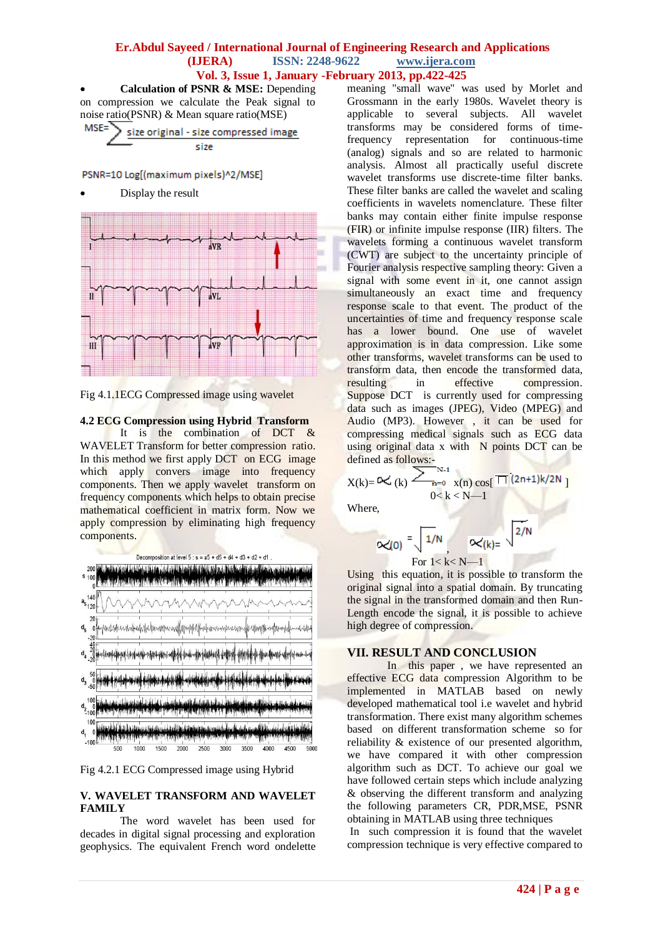## **Er.Abdul Sayeed / International Journal of Engineering Research and Applications (IJERA) ISSN: 2248-9622 www.ijera.com Vol. 3, Issue 1, January -February 2013, pp.422-425**

 **Calculation of PSNR & MSE:** Depending on compression we calculate the Peak signal to noise ratio(PSNR) & Mean square ratio(MSE)<br>MSE=

$$
\sum_{size}^{SE=}
$$
 size original - size compressed image

PSNR=10 Log[(maximum pixels)^2/MSE]

Display the result



Fig 4.1.1ECG Compressed image using wavelet

# **4.2 ECG Compression using Hybrid Transform**

It is the combination of DCT & WAVELET Transform for better compression ratio. In this method we first apply DCT on ECG image which apply convers image into frequency components. Then we apply wavelet transform on frequency components which helps to obtain precise mathematical coefficient in matrix form. Now we apply compression by eliminating high frequency components.





#### **V. WAVELET TRANSFORM AND WAVELET FAMILY**

The word wavelet has been used for decades in digital signal processing and exploration geophysics. The equivalent French word ondelette meaning "small wave" was used by Morlet and Grossmann in the early 1980s. Wavelet theory is applicable to several subjects. All wavelet transforms may be considered forms of timefrequency representation for continuous-time (analog) signals and so are related to harmonic analysis. Almost all practically useful discrete wavelet transforms use discrete-time filter banks. These filter banks are called the wavelet and scaling coefficients in wavelets nomenclature. These filter banks may contain either finite impulse response (FIR) or infinite impulse response (IIR) filters. The wavelets forming a continuous wavelet transform (CWT) are subject to the uncertainty principle of Fourier analysis respective sampling theory: Given a signal with some event in it, one cannot assign simultaneously an exact time and frequency response scale to that event. The product of the uncertainties of time and frequency response scale has a lower bound. One use of wavelet approximation is in data compression. Like some other transforms, wavelet transforms can be used to transform data, then encode the transformed data, resulting in effective compression. Suppose DCT is currently used for compressing data such as images (JPEG), Video (MPEG) and Audio (MP3). However , it can be used for compressing medical signals such as ECG data using original data x with  $\overline{N}$  points DCT can be defined as follows:-

$$
X(k) = 0 \leq (k) \sum_{n=0}^{N-1} \frac{x(n) \cos[\Pi](2n+1)k/2N}{0 \leq k \leq N-1}
$$

Where,

$$
\alpha(0) = \sqrt{\frac{1}{N}} \sqrt{\frac{1}{N}}
$$
  
For 1 < k < N-1

Using this equation, it is possible to transform the original signal into a spatial domain. By truncating the signal in the transformed domain and then Run-Length encode the signal, it is possible to achieve high degree of compression.

# **VII. RESULT AND CONCLUSION**

In this paper , we have represented an effective ECG data compression Algorithm to be implemented in MATLAB based on newly developed mathematical tool i.e wavelet and hybrid transformation. There exist many algorithm schemes based on different transformation scheme so for reliability & existence of our presented algorithm, we have compared it with other compression algorithm such as DCT. To achieve our goal we have followed certain steps which include analyzing & observing the different transform and analyzing the following parameters CR, PDR,MSE, PSNR obtaining in MATLAB using three techniques

In such compression it is found that the wavelet compression technique is very effective compared to